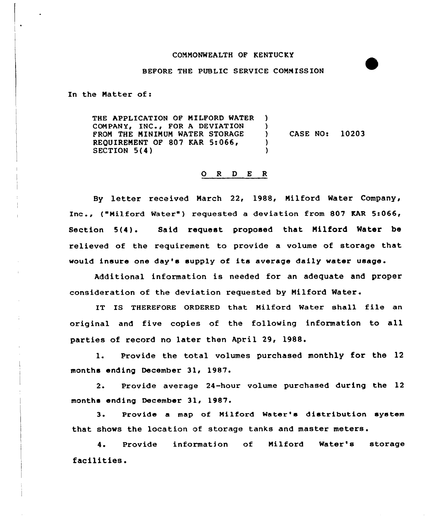## CONNONWEALTH OF KENTUCKY

## BEFORE THE PUBLIC SERVICE COMMISSION

In the Natter of:

 $\ddot{\phantom{a}}$ 

THE APPLICATION OF NILFORD WATER COMPANY, INC., FOR A DEVIATION FRON THE NININUN WATER STORAGE REQUIREMENT OF 807 KAR 5:066, SECTION 5(4)  $\lambda$  $\frac{1}{2}$ ) CASE NO: 10203 ) )

## O R D E R

By letter received March 22, 1988, Nilford Water Company, Inc., ("Milford Water") requested a deviation from 807 KAR 5:066, Section 5(4). Said request proposed that Nilford Water be relieved of the requirement to provide a volume of storage that would insure one day's supply of its average daily water usage.

Additional information is needed for an adequate and proper consideration of the deviation requested by Nilford Water.

IT IS THEREFORE ORDERED that Nilford Water shall file an original and five copies of the following information to all parties of record no later then April 29, 1988.

1. Provide the total volumes purchased monthly for the 12 months ending December 31, 1987.

2. Provide average 24-hour volume purchased during the 12 months ending December 31, 1987.

3. Provide a map of Milford Water's distribution system that shows the location of storage tanks and master meters.

4. Provide information of Nilford Water's storage facilities.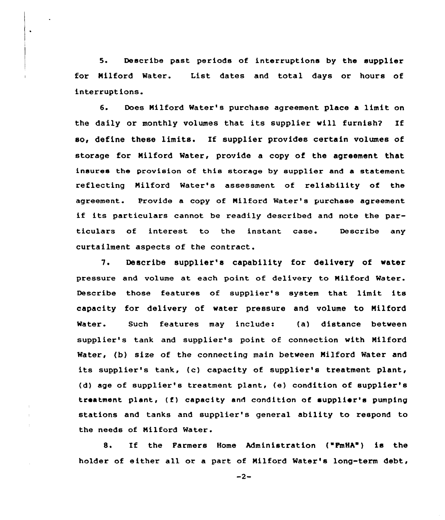5. Describe past periods of interruptions by the supplier for Nilford Water. List dates and total days or hours of interruptions.

 $\bullet$ 

6. Does Nilford Water's purchase agreement place a limit on the daily or monthly volumes that its supplier will furnish? If so, define these limits. If supplier provides certain volumes of storage for Nilford Water, provide a copy of the agreement that insures the provision of this storage by supplier and a statement reflecting Nilford Water's assessment of reliability of the agreement. Provide a copy of Milford Water's purchase agreement if its particulars cannot be readily described and note the particulars of interest to the instant case. Describe any curtailment aspects of the contract.

7. Describe supplier's capability for delivery of water pressure and volume at each point of delivery to Nilford Water. Describe those features of supplier's system that limit its capacity for delivery of water pressure and volume to Nilford Water. Such features may include: (a) distance between supplier's tank and supplier's point of connection with Nilford Water, (b) size of the connecting main between Nilford Water and its supplier's tank, (c) capacity of supplier's treatment plant, (d) age of supplier's treatment plant, (e) condition of supplier's treatment plant, (f) capacity and condition of supplier's pumping stations and tanks and supplier's general ability to respond to the needs of Nilford Water.

8. If the Farmers Home Administration ("FmHA") is the holder of either all or a part of Milford Water's long-term debt,

 $-2-$